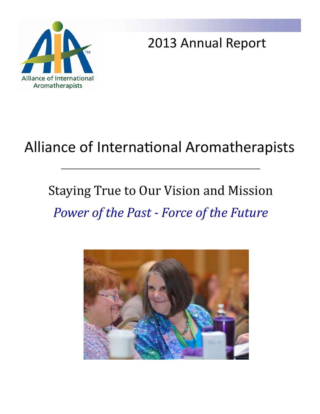

2013 Annual Report

# Alliance of International Aromatherapists

# Staying True to Our Vision and Mission *Power of the Past ‐ Force of the Future*

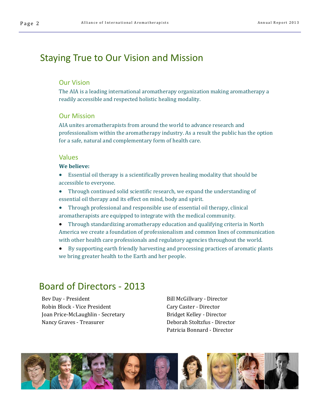## Staying True to Our Vision and Mission

#### Our Vision

The AIA is a leading international aromatherapy organization making aromatherapy a readily accessible and respected holistic healing modality.

#### Our Mission

AIA unites aromatherapists from around the world to advance research and professionalism within the aromatherapy industry. As a result the public has the option for a safe, natural and complementary form of health care.

#### Values

#### **We believe:**

- Essential oil therapy is a scientifically proven healing modality that should be accessible to everyone.
- Through continued solid scientific research, we expand the understanding of essential oil therapy and its effect on mind, body and spirit.
- Through professional and responsible use of essential oil therapy, clinical aromatherapists are equipped to integrate with the medical community.
- Through standardizing aromatherapy education and qualifying criteria in North America we create a foundation of professionalism and common lines of communication with other health care professionals and regulatory agencies throughout the world.
- By supporting earth friendly harvesting and processing practices of aromatic plants we bring greater health to the Earth and her people.

## Board of Directors ‐ 2013

Bev Day - President Robin Block - Vice President Joan Price-McLaughlin - Secretary Nancy Graves - Treasurer

Bill McGillvary - Director Cary Caster - Director Bridget Kelley - Director Deborah Stoltzfus - Director Patricia Bonnard - Director

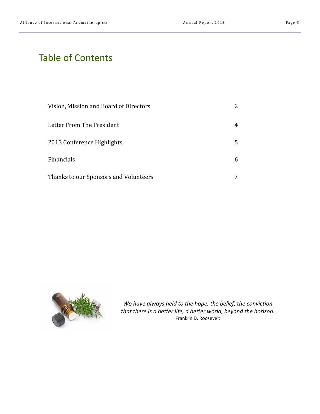## Table of Contents

| Vision, Mission and Board of Directors |   |
|----------------------------------------|---|
| Letter From The President              |   |
| 2013 Conference Highlights             | 5 |
| Financials                             | h |
| Thanks to our Sponsors and Volunteers  |   |



*We have always held to the hope, the belief, the conviction that there is a better life, a better world, beyond the horizon.* Franklin D. Roosevelt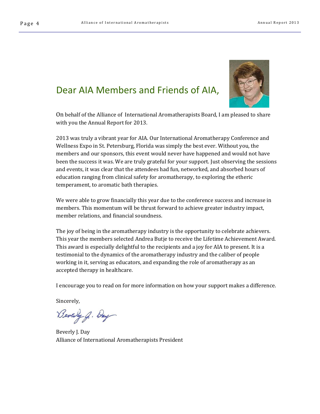### Dear AIA Members and Friends of AIA,



On behalf of the Alliance of International Aromatherapists Board, I am pleased to share with you the Annual Report for 2013.

2013 was truly a vibrant year for AIA. Our International Aromatherapy Conference and Wellness Expo in St. Petersburg, Florida was simply the best ever. Without you, the members and our sponsors, this event would never have happened and would not have been the success it was. We are truly grateful for your support. Just observing the sessions and events, it was clear that the attendees had fun, networked, and absorbed hours of education ranging from clinical safety for aromatherapy, to exploring the etheric temperament, to aromatic bath therapies.

We were able to grow financially this year due to the conference success and increase in members. This momentum will be thrust forward to achieve greater industry impact, member relations, and financial soundness.

The joy of being in the aromatherapy industry is the opportunity to celebrate achievers. This year the members selected Andrea Butje to receive the Lifetime Achievement Award. This award is especially delightful to the recipients and a joy for AIA to present. It is a testimonial to the dynamics of the aromatherapy industry and the caliber of people working in it, serving as educators, and expanding the role of aromatherapy as an accepted therapy in healthcare.

I encourage you to read on for more information on how your support makes a difference.

Sincerely, 

Beverly g. Day

Beverly J. Day Alliance of International Aromatherapists President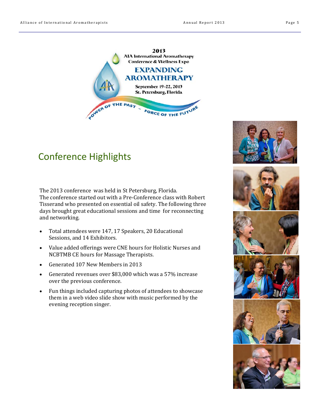

## Conference Highlights

The 2013 conference was held in St Petersburg, Florida. The conference started out with a Pre-Conference class with Robert Tisserand who presented on essential oil safety. The following three days brought great educational sessions and time for reconnecting and networking.

- Total attendees were 147, 17 Speakers, 20 Educational Sessions, and 14 Exhibitors.
- Value added offerings were CNE hours for Holistic Nurses and NCBTMB CE hours for Massage Therapists.
- Generated 107 New Members in 2013
- Generated revenues over \$83,000 which was a 57% increase over the previous conference.
- Fun things included capturing photos of attendees to showcase them in a web video slide show with music performed by the evening reception singer.











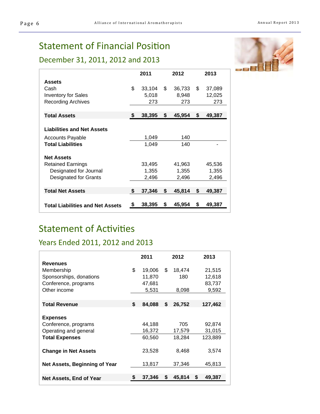## **Statement of Financial Position**

## December 31, 2011, 2012 and 2013

|                                         | 2011         |    | 2012   | 2013         |
|-----------------------------------------|--------------|----|--------|--------------|
| <b>Assets</b>                           |              |    |        |              |
| Cash                                    | \$<br>33,104 | \$ | 36,733 | \$<br>37,089 |
| <b>Inventory for Sales</b>              | 5,018        |    | 8,948  | 12,025       |
| <b>Recording Archives</b>               | 273          |    | 273    | 273          |
| <b>Total Assets</b>                     | \$<br>38,395 | \$ | 45,954 | \$<br>49,387 |
|                                         |              |    |        |              |
| <b>Liabilities and Net Assets</b>       |              |    |        |              |
| <b>Accounts Payable</b>                 | 1,049        |    | 140    |              |
| <b>Total Liabilities</b>                | 1,049        |    | 140    |              |
| <b>Net Assets</b>                       |              |    |        |              |
| <b>Retained Earnings</b>                | 33,495       |    | 41,963 | 45,536       |
| Designated for Journal                  | 1,355        |    | 1,355  | 1,355        |
| Designated for Grants                   | 2,496        |    | 2,496  | 2,496        |
|                                         |              |    |        |              |
| <b>Total Net Assets</b>                 | \$<br>37,346 | \$ | 45,814 | \$<br>49,387 |
| <b>Total Liabilities and Net Assets</b> | \$<br>38,395 | S  | 45,954 | \$<br>49,387 |

## **Statement of Activities**

### Years Ended 2011, 2012 and 2013

|                                | 2011         |    | 2012   |   | 2013    |
|--------------------------------|--------------|----|--------|---|---------|
| <b>Revenues</b>                |              |    |        |   |         |
| Membership                     | \$<br>19,006 | \$ | 18,474 |   | 21,515  |
| Sponsorships, donations        | 11,870       |    | 180    |   | 12,618  |
| Conference, programs           | 47,681       |    |        |   | 83,737  |
| Other income                   | 5,531        |    | 8,098  |   | 9,592   |
|                                |              |    |        |   |         |
| <b>Total Revenue</b>           | \$<br>84,088 | \$ | 26,752 |   | 127,462 |
|                                |              |    |        |   |         |
| <b>Expenses</b>                |              |    |        |   |         |
| Conference, programs           | 44,188       |    | 705    |   | 92,874  |
| Operating and general          | 16,372       |    | 17,579 |   | 31,015  |
| <b>Total Expenses</b>          | 60,560       |    | 18,284 |   | 123,889 |
|                                |              |    |        |   |         |
| <b>Change in Net Assets</b>    | 23,528       |    | 8,468  |   | 3,574   |
|                                |              |    |        |   |         |
| Net Assets, Beginning of Year  | 13,817       |    | 37,346 |   | 45,813  |
|                                |              |    |        |   |         |
| <b>Net Assets, End of Year</b> | 37,346       | S  | 45,814 | S | 49,387  |

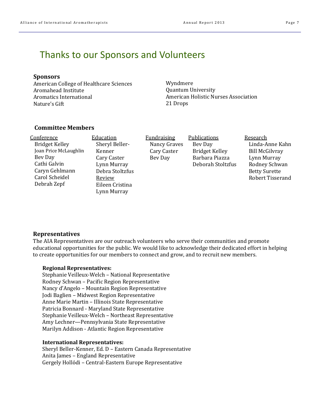### Thanks to our Sponsors and Volunteers

#### **Sponsors**

American College of Healthcare Sciences Aromahead Institute Aromatics International Nature's Gift 

Wyndmere Quantum University American Holistic Nurses Association 21 Drops 

#### **Committee Members**

| Conference            |
|-----------------------|
| <b>Bridget Kelley</b> |
| Joan Price McLaughlin |
| Bev Day               |
| Cathi Galvin          |
| Caryn Gehlmann        |
| Carol Scheidel        |
| Debrah Zepf           |
|                       |

**Education** Sheryl Beller-Kenner Cary Caster Lynn Murray Debra Stoltzfus Review Eileen Cristina Lynn Murray

Fundraising Nancy Graves Cary Caster Bev Day

**Publications** Bev Day Bridget Kelley Barbara Piazza Deborah Stoltzfus  Research Linda‐Anne Kahn Bill McGilvrav Lynn Murray Rodney Schwan Betty Surette Robert Tisserand 

#### **Representatives**

The AIA Representatives are our outreach volunteers who serve their communities and promote educational opportunities for the public. We would like to acknowledge their dedicated effort in helping to create opportunities for our members to connect and grow, and to recruit new members.

#### **Regional Representatives:**

Stephanie Veilleux-Welch – National Representative Rodney Schwan - Pacific Region Representative Nancy d'Angelo – Mountain Region Representative Jodi Baglien - Midwest Region Representative Anne Marie Martin - Illinois State Representative Patricia Bonnard - Maryland State Representative Stephanie Veilleux-Welch – Northeast Representative Amy Lechner—Pennsylvania State Representative Marilyn Addison - Atlantic Region Representative

#### **International Representatives:**

Sheryl Beller-Kenner, Ed. D – Eastern Canada Representative Anita James – England Representative Gergely Hollódi – Central-Eastern Europe Representative